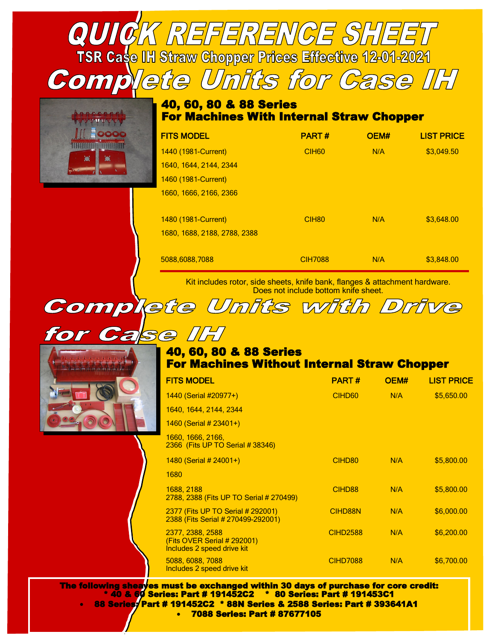**TSR Case IH Straw Chopper Prices Effective 12-01-2021** 

QUICK REFERENCE SHEET

Complete Units for Case IH

Complete Units with Drive

## 40, 60, 80 & 88 Series For Machines With Internal Straw Chopper

| <b>FITS MODEL</b>            | <b>PART#</b>      | OEM# | <b>LIST PRICE</b> |
|------------------------------|-------------------|------|-------------------|
| 1440 (1981-Current)          | CIH <sub>60</sub> | N/A  | \$3,049.50        |
| 1640, 1644, 2144, 2344       |                   |      |                   |
| 1460 (1981-Current)          |                   |      |                   |
| 1660, 1666, 2166, 2366       |                   |      |                   |
|                              |                   |      |                   |
| 1480 (1981-Current)          | CIH <sub>80</sub> | N/A  | \$3.648.00        |
| 1680, 1688, 2188, 2788, 2388 |                   |      |                   |
|                              |                   |      |                   |
| 5088.6088.7088               | <b>CIH7088</b>    | N/A  | \$3.848.00        |

Kit includes rotor, side sheets, knife bank, flanges & attachment hardware. Does not include bottom knife sheet.

| for Case IH |                                                                       |              |      |                   |
|-------------|-----------------------------------------------------------------------|--------------|------|-------------------|
|             | 40, 60, 80 & 88 Series<br>For Machines Without Internal Straw Chopper |              |      |                   |
|             | <b>FITS MODEL</b>                                                     | <b>PART#</b> | OFM# | <b>LIST PRICE</b> |

| FITS MUDEL                                                                    | PARI #             | <b>UEM#</b> | LIST PRICE |
|-------------------------------------------------------------------------------|--------------------|-------------|------------|
| 1440 (Serial #20977+)                                                         | CIHD <sub>60</sub> | N/A         | \$5,650.00 |
| 1640, 1644, 2144, 2344                                                        |                    |             |            |
| $1460$ (Serial # 23401+)                                                      |                    |             |            |
| 1660, 1666, 2166,<br>2366 (Fits UP TO Serial # 38346)                         |                    |             |            |
| $1480$ (Serial # 24001+)                                                      | CIHD <sub>80</sub> | N/A         | \$5,800.00 |
| 1680                                                                          |                    |             |            |
| 1688, 2188<br>2788, 2388 (Fits UP TO Serial # 270499)                         | CIHD88             | N/A         | \$5,800.00 |
| 2377 (Fits UP TO Serial # 292001)<br>2388 (Fits Serial # 270499-292001)       | CIHD88N            | N/A         | \$6,000.00 |
| 2377, 2388, 2588<br>(Fits OVER Serial # 292001)<br>Includes 2 speed drive kit | <b>CIHD2588</b>    | N/A         | \$6,200.00 |
| 5088, 6088, 7088<br>Includes 2 speed drive kit                                | <b>CIHD7088</b>    | N/A         | \$6,700.00 |

The following sheaves must be exchanged within 30 days of purchase for core credit: \* 40 & 60 Series: Part # 191452C2 \* 80 Series: Part # 191453C1 • 88 Series: Part # 191452C2 \* 88N Series & 2588 Series: Part # 393641A1 • 7088 Series: Part # 87677105